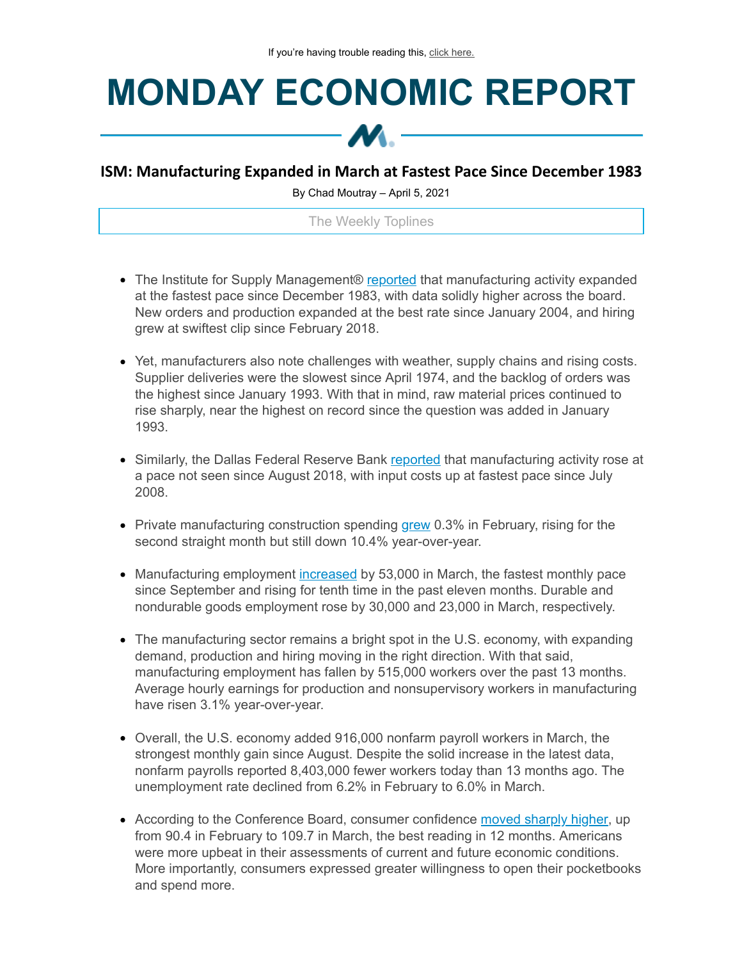## **MONDAY ECONOMIC REPORT**



## **ISM: Manufacturing Expanded in March at Fastest Pace Since December 1983**

By Chad Moutray – April 5, 2021

The Weekly Toplines

- The Institute for Supply Management® [reported](https://click.email.nam.org/?qs=0f895ab7ed8db95253776451bed9fc5d6743a5ade46eed78197c007f3c63c33e3de8836cec9e902b57c09d4a3ee92ea0139393c76abb305f8dacd9f76b7e4c5a) that manufacturing activity expanded at the fastest pace since December 1983, with data solidly higher across the board. New orders and production expanded at the best rate since January 2004, and hiring grew at swiftest clip since February 2018.
- Yet, manufacturers also note challenges with weather, supply chains and rising costs. Supplier deliveries were the slowest since April 1974, and the backlog of orders was the highest since January 1993. With that in mind, raw material prices continued to rise sharply, near the highest on record since the question was added in January 1993.
- Similarly, the Dallas Federal Reserve Bank [reported](https://click.email.nam.org/?qs=0f895ab7ed8db952002feb7e4dd60c9dc459ae92d67e9f7c06e35610d7e83879cb63c724526288cf421e8f037cea49a7e54aa73fad970e06b499b91921421286) that manufacturing activity rose at a pace not seen since August 2018, with input costs up at fastest pace since July 2008.
- Private manufacturing construction spending [grew](https://click.email.nam.org/?qs=0f895ab7ed8db952c007d19389a0885ede27e33bbe4129b0faf233e4bb7df04c2f9d04fd59a3d8b9fff7352d699613aa84828452dfa6a476508cc68c447b73ae) 0.3% in February, rising for the second straight month but still down 10.4% year-over-year.
- Manufacturing employment [increased](https://click.email.nam.org/?qs=0f895ab7ed8db95200bae294c84237a63c5838a217888a8fffc549d9e68e434d0d7c48d54e2eff1777f0cf723b4b59d99ba070c29df1693f6f1db54e0b4f0b8a) by 53,000 in March, the fastest monthly pace since September and rising for tenth time in the past eleven months. Durable and nondurable goods employment rose by 30,000 and 23,000 in March, respectively.
- The manufacturing sector remains a bright spot in the U.S. economy, with expanding demand, production and hiring moving in the right direction. With that said, manufacturing employment has fallen by 515,000 workers over the past 13 months. Average hourly earnings for production and nonsupervisory workers in manufacturing have risen 3.1% year-over-year.
- Overall, the U.S. economy added 916,000 nonfarm payroll workers in March, the strongest monthly gain since August. Despite the solid increase in the latest data, nonfarm payrolls reported 8,403,000 fewer workers today than 13 months ago. The unemployment rate declined from 6.2% in February to 6.0% in March.
- According to the Conference Board, consumer confidence moved [sharply](https://click.email.nam.org/?qs=0f895ab7ed8db952d5708d4a91c1fabd8c4f04ff1f7c12cac92324019c382c0c2b30f8aa224085babccc872c92c7cb5d93a131fff6eb3db47ce2933d0e3f8265) higher, up from 90.4 in February to 109.7 in March, the best reading in 12 months. Americans were more upbeat in their assessments of current and future economic conditions. More importantly, consumers expressed greater willingness to open their pocketbooks and spend more.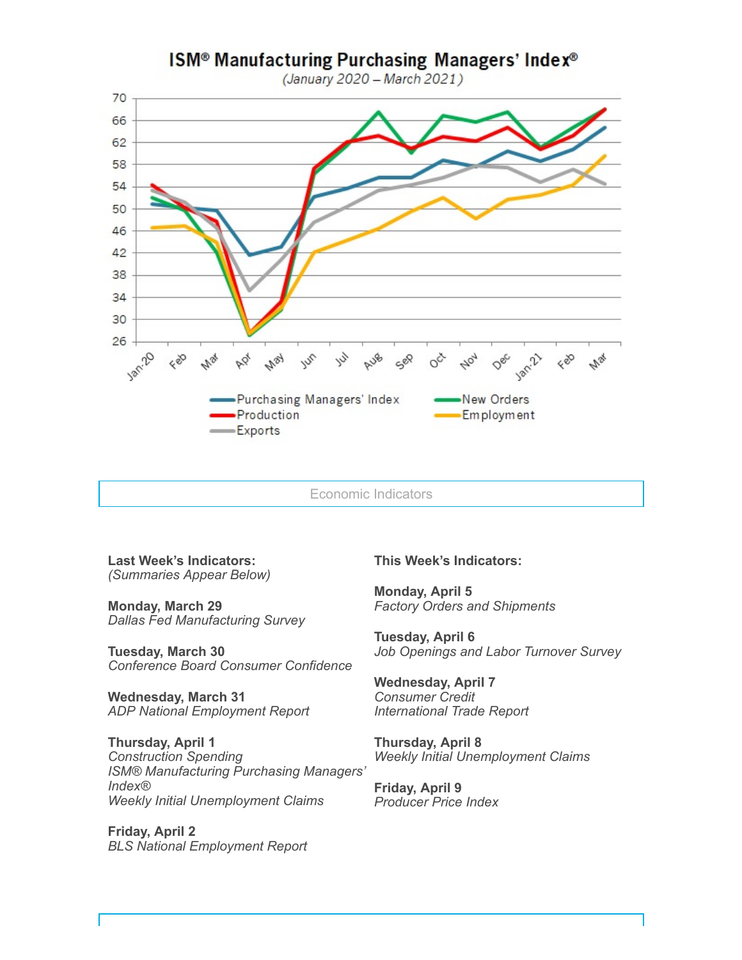

Economic Indicators

**Last Week's Indicators:** *(Summaries Appear Below)*

**Monday, March 29** *Dallas Fed Manufacturing Survey*

**Tuesday, March 30** *Conference Board Consumer Confidence*

**Wednesday, March 31** *ADP National Employment Report*

**Thursday, April 1** *Construction Spending ISM® Manufacturing Purchasing Managers' Index® Weekly Initial Unemployment Claims*

**Friday, April 2** *BLS National Employment Report*

## **This Week's Indicators:**

**Monday, April 5** *Factory Orders and Shipments*

**Tuesday, April 6** *Job Openings and Labor Turnover Survey*

**Wednesday, April 7** *Consumer Credit International Trade Report*

**Thursday, April 8** *Weekly Initial Unemployment Claims*

**Friday, April 9** *Producer Price Index*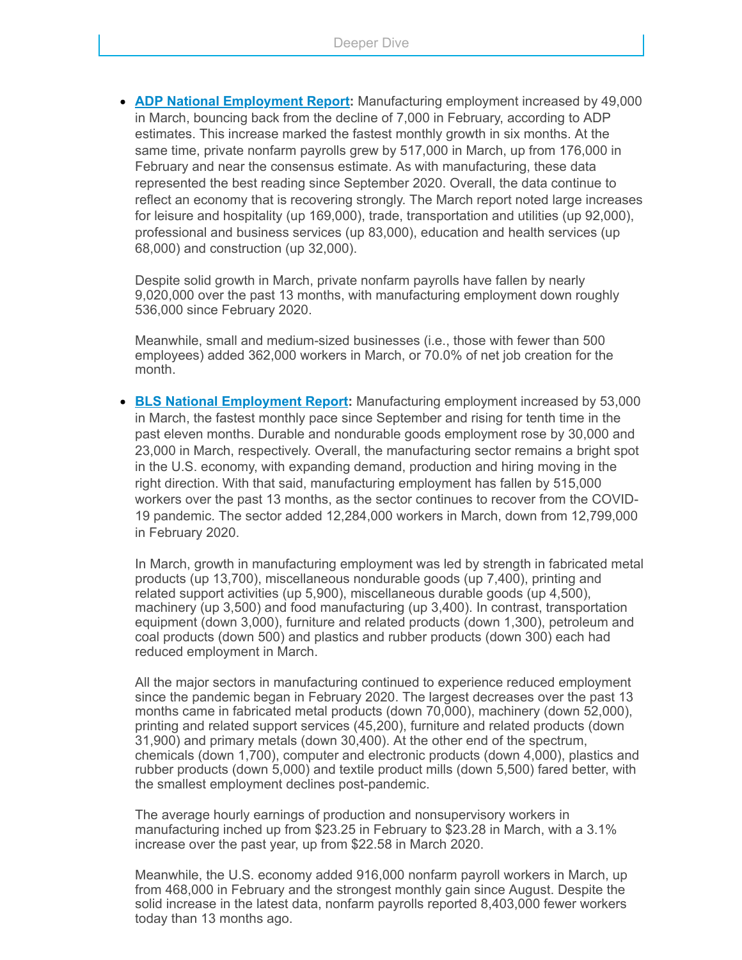**ADP National [Employment](https://click.email.nam.org/?qs=0f895ab7ed8db952948a91d08ad7d6ca4c29c8792568ec5dabe3b57bd9832ae33cdc455b80413ec69478158de8b0c4fe4b4bf0892d11c8628350b4fd8645bd9a) Report:** Manufacturing employment increased by 49,000 in March, bouncing back from the decline of 7,000 in February, according to ADP estimates. This increase marked the fastest monthly growth in six months. At the same time, private nonfarm payrolls grew by 517,000 in March, up from 176,000 in February and near the consensus estimate. As with manufacturing, these data represented the best reading since September 2020. Overall, the data continue to reflect an economy that is recovering strongly. The March report noted large increases for leisure and hospitality (up 169,000), trade, transportation and utilities (up 92,000), professional and business services (up 83,000), education and health services (up 68,000) and construction (up 32,000).

Despite solid growth in March, private nonfarm payrolls have fallen by nearly 9,020,000 over the past 13 months, with manufacturing employment down roughly 536,000 since February 2020.

Meanwhile, small and medium-sized businesses (i.e., those with fewer than 500 employees) added 362,000 workers in March, or 70.0% of net job creation for the month.

**BLS National [Employment](https://click.email.nam.org/?qs=0f895ab7ed8db95200bae294c84237a63c5838a217888a8fffc549d9e68e434d0d7c48d54e2eff1777f0cf723b4b59d99ba070c29df1693f6f1db54e0b4f0b8a) Report:** Manufacturing employment increased by 53,000 in March, the fastest monthly pace since September and rising for tenth time in the past eleven months. Durable and nondurable goods employment rose by 30,000 and 23,000 in March, respectively. Overall, the manufacturing sector remains a bright spot in the U.S. economy, with expanding demand, production and hiring moving in the right direction. With that said, manufacturing employment has fallen by 515,000 workers over the past 13 months, as the sector continues to recover from the COVID-19 pandemic. The sector added 12,284,000 workers in March, down from 12,799,000 in February 2020.

In March, growth in manufacturing employment was led by strength in fabricated metal products (up 13,700), miscellaneous nondurable goods (up 7,400), printing and related support activities (up 5,900), miscellaneous durable goods (up 4,500), machinery (up 3,500) and food manufacturing (up 3,400). In contrast, transportation equipment (down 3,000), furniture and related products (down 1,300), petroleum and coal products (down 500) and plastics and rubber products (down 300) each had reduced employment in March.

All the major sectors in manufacturing continued to experience reduced employment since the pandemic began in February 2020. The largest decreases over the past 13 months came in fabricated metal products (down 70,000), machinery (down 52,000), printing and related support services (45,200), furniture and related products (down 31,900) and primary metals (down 30,400). At the other end of the spectrum, chemicals (down 1,700), computer and electronic products (down 4,000), plastics and rubber products (down 5,000) and textile product mills (down 5,500) fared better, with the smallest employment declines post-pandemic.

The average hourly earnings of production and nonsupervisory workers in manufacturing inched up from \$23.25 in February to \$23.28 in March, with a 3.1% increase over the past year, up from \$22.58 in March 2020.

Meanwhile, the U.S. economy added 916,000 nonfarm payroll workers in March, up from 468,000 in February and the strongest monthly gain since August. Despite the solid increase in the latest data, nonfarm payrolls reported 8,403,000 fewer workers today than 13 months ago.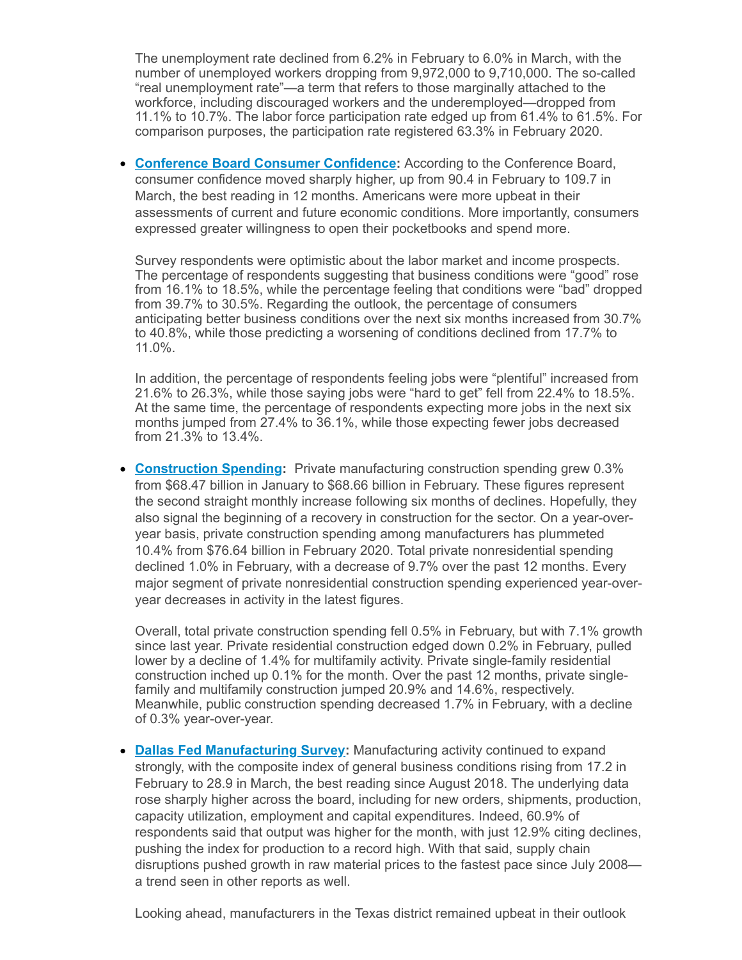The unemployment rate declined from 6.2% in February to 6.0% in March, with the number of unemployed workers dropping from 9,972,000 to 9,710,000. The so-called "real unemployment rate"—a term that refers to those marginally attached to the workforce, including discouraged workers and the underemployed—dropped from 11.1% to 10.7%. The labor force participation rate edged up from 61.4% to 61.5%. For comparison purposes, the participation rate registered 63.3% in February 2020.

**Conference Board Consumer [Confidence:](https://click.email.nam.org/?qs=0f895ab7ed8db952d5708d4a91c1fabd8c4f04ff1f7c12cac92324019c382c0c2b30f8aa224085babccc872c92c7cb5d93a131fff6eb3db47ce2933d0e3f8265)** According to the Conference Board, consumer confidence moved sharply higher, up from 90.4 in February to 109.7 in March, the best reading in 12 months. Americans were more upbeat in their assessments of current and future economic conditions. More importantly, consumers expressed greater willingness to open their pocketbooks and spend more.

Survey respondents were optimistic about the labor market and income prospects. The percentage of respondents suggesting that business conditions were "good" rose from 16.1% to 18.5%, while the percentage feeling that conditions were "bad" dropped from 39.7% to 30.5%. Regarding the outlook, the percentage of consumers anticipating better business conditions over the next six months increased from 30.7% to 40.8%, while those predicting a worsening of conditions declined from 17.7% to 11.0%.

In addition, the percentage of respondents feeling jobs were "plentiful" increased from 21.6% to 26.3%, while those saying jobs were "hard to get" fell from 22.4% to 18.5%. At the same time, the percentage of respondents expecting more jobs in the next six months jumped from 27.4% to 36.1%, while those expecting fewer jobs decreased from 21.3% to 13.4%.

**[Construction](https://click.email.nam.org/?qs=0f895ab7ed8db952c007d19389a0885ede27e33bbe4129b0faf233e4bb7df04c2f9d04fd59a3d8b9fff7352d699613aa84828452dfa6a476508cc68c447b73ae) Spending:** Private manufacturing construction spending grew 0.3% from \$68.47 billion in January to \$68.66 billion in February. These figures represent the second straight monthly increase following six months of declines. Hopefully, they also signal the beginning of a recovery in construction for the sector. On a year-overyear basis, private construction spending among manufacturers has plummeted 10.4% from \$76.64 billion in February 2020. Total private nonresidential spending declined 1.0% in February, with a decrease of 9.7% over the past 12 months. Every major segment of private nonresidential construction spending experienced year-overyear decreases in activity in the latest figures.

Overall, total private construction spending fell 0.5% in February, but with 7.1% growth since last year. Private residential construction edged down 0.2% in February, pulled lower by a decline of 1.4% for multifamily activity. Private single-family residential construction inched up 0.1% for the month. Over the past 12 months, private singlefamily and multifamily construction jumped 20.9% and 14.6%, respectively. Meanwhile, public construction spending decreased 1.7% in February, with a decline of 0.3% year-over-year.

**Dallas Fed [Manufacturing](https://click.email.nam.org/?qs=0f895ab7ed8db952002feb7e4dd60c9dc459ae92d67e9f7c06e35610d7e83879cb63c724526288cf421e8f037cea49a7e54aa73fad970e06b499b91921421286) Survey:** Manufacturing activity continued to expand strongly, with the composite index of general business conditions rising from 17.2 in February to 28.9 in March, the best reading since August 2018. The underlying data rose sharply higher across the board, including for new orders, shipments, production, capacity utilization, employment and capital expenditures. Indeed, 60.9% of respondents said that output was higher for the month, with just 12.9% citing declines, pushing the index for production to a record high. With that said, supply chain disruptions pushed growth in raw material prices to the fastest pace since July 2008 a trend seen in other reports as well.

Looking ahead, manufacturers in the Texas district remained upbeat in their outlook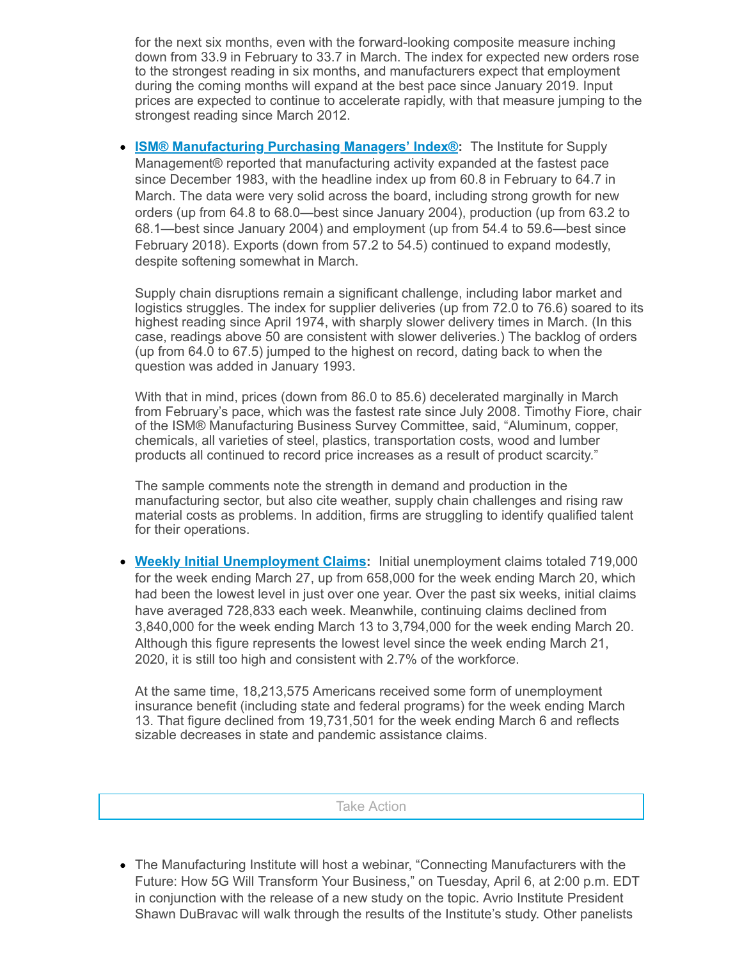for the next six months, even with the forward-looking composite measure inching down from 33.9 in February to 33.7 in March. The index for expected new orders rose to the strongest reading in six months, and manufacturers expect that employment during the coming months will expand at the best pace since January 2019. Input prices are expected to continue to accelerate rapidly, with that measure jumping to the strongest reading since March 2012.

**ISM® [Manufacturing](https://click.email.nam.org/?qs=0f895ab7ed8db95253776451bed9fc5d6743a5ade46eed78197c007f3c63c33e3de8836cec9e902b57c09d4a3ee92ea0139393c76abb305f8dacd9f76b7e4c5a) Purchasing Managers' Index®:** The Institute for Supply Management® reported that manufacturing activity expanded at the fastest pace since December 1983, with the headline index up from 60.8 in February to 64.7 in March. The data were very solid across the board, including strong growth for new orders (up from 64.8 to 68.0—best since January 2004), production (up from 63.2 to 68.1—best since January 2004) and employment (up from 54.4 to 59.6—best since February 2018). Exports (down from 57.2 to 54.5) continued to expand modestly, despite softening somewhat in March.

Supply chain disruptions remain a significant challenge, including labor market and logistics struggles. The index for supplier deliveries (up from 72.0 to 76.6) soared to its highest reading since April 1974, with sharply slower delivery times in March. (In this case, readings above 50 are consistent with slower deliveries.) The backlog of orders (up from 64.0 to 67.5) jumped to the highest on record, dating back to when the question was added in January 1993.

With that in mind, prices (down from 86.0 to 85.6) decelerated marginally in March from February's pace, which was the fastest rate since July 2008. Timothy Fiore, chair of the ISM® Manufacturing Business Survey Committee, said, "Aluminum, copper, chemicals, all varieties of steel, plastics, transportation costs, wood and lumber products all continued to record price increases as a result of product scarcity."

The sample comments note the strength in demand and production in the manufacturing sector, but also cite weather, supply chain challenges and rising raw material costs as problems. In addition, firms are struggling to identify qualified talent for their operations.

**Weekly Initial [Unemployment](https://click.email.nam.org/?qs=0f895ab7ed8db952829ce1f1951cd69424ed81fa153ec55b1433e5a355337ea9845be46e97ede6a8602df428021e1f640a8d4ca2b9937987f76f6963e60e8275) Claims:** Initial unemployment claims totaled 719,000 for the week ending March 27, up from 658,000 for the week ending March 20, which had been the lowest level in just over one year. Over the past six weeks, initial claims have averaged 728,833 each week. Meanwhile, continuing claims declined from 3,840,000 for the week ending March 13 to 3,794,000 for the week ending March 20. Although this figure represents the lowest level since the week ending March 21, 2020, it is still too high and consistent with 2.7% of the workforce.

At the same time, 18,213,575 Americans received some form of unemployment insurance benefit (including state and federal programs) for the week ending March 13. That figure declined from 19,731,501 for the week ending March 6 and reflects sizable decreases in state and pandemic assistance claims.

Take Action

The Manufacturing Institute will host a webinar, "Connecting Manufacturers with the Future: How 5G Will Transform Your Business," on Tuesday, April 6, at 2:00 p.m. EDT in conjunction with the release of a new study on the topic. Avrio Institute President Shawn DuBravac will walk through the results of the Institute's study. Other panelists